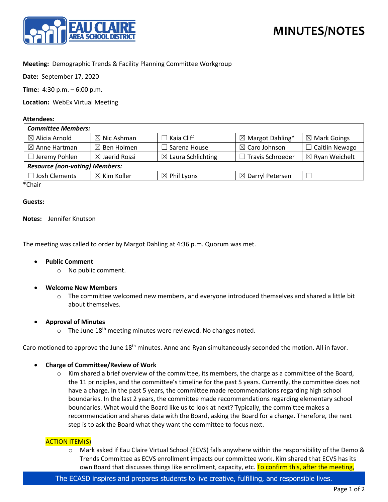

# **MINUTES/NOTES**

# **Meeting:** Demographic Trends & Facility Planning Committee Workgroup

**Date:** September 17, 2020

**Time:** 4:30 p.m. – 6:00 p.m.

**Location:** WebEx Virtual Meeting

#### **Attendees:**

| <b>Committee Members:</b>             |                          |                               |                             |                           |
|---------------------------------------|--------------------------|-------------------------------|-----------------------------|---------------------------|
| $\boxtimes$ Alicia Arnold             | $\boxtimes$ Nic Ashman   | $\Box$ Kaia Cliff             | $\boxtimes$ Margot Dahling* | $\boxtimes$ Mark Goings   |
| $\boxtimes$ Anne Hartman              | $\boxtimes$ Ben Holmen   | $\Box$ Sarena House           | $\boxtimes$ Caro Johnson    | $\Box$ Caitlin Newago     |
| $\Box$ Jeremy Pohlen                  | $\boxtimes$ Jaerid Rossi | $\boxtimes$ Laura Schlichting | $\Box$ Travis Schroeder     | $\boxtimes$ Ryan Weichelt |
| <b>Resource (non-voting) Members:</b> |                          |                               |                             |                           |
| Josh Clements                         | $\boxtimes$ Kim Koller   | $\boxtimes$ Phil Lyons        | $\boxtimes$ Darryl Petersen |                           |
| $*$ $C_{\text{back}}$                 |                          |                               |                             |                           |

\*Chair

## **Guests:**

## **Notes:** Jennifer Knutson

The meeting was called to order by Margot Dahling at 4:36 p.m. Quorum was met.

- **Public Comment**
	- o No public comment.
- **Welcome New Members**
	- $\circ$  The committee welcomed new members, and everyone introduced themselves and shared a little bit about themselves.

# • **Approval of Minutes**

 $\circ$  The June 18<sup>th</sup> meeting minutes were reviewed. No changes noted.

Caro motioned to approve the June 18<sup>th</sup> minutes. Anne and Ryan simultaneously seconded the motion. All in favor.

- **Charge of Committee/Review of Work**
	- $\circ$  Kim shared a brief overview of the committee, its members, the charge as a committee of the Board, the 11 principles, and the committee's timeline for the past 5 years. Currently, the committee does not have a charge. In the past 5 years, the committee made recommendations regarding high school boundaries. In the last 2 years, the committee made recommendations regarding elementary school boundaries. What would the Board like us to look at next? Typically, the committee makes a recommendation and shares data with the Board, asking the Board for a charge. Therefore, the next step is to ask the Board what they want the committee to focus next.

# ACTION ITEM(S)

o Mark asked if Eau Claire Virtual School (ECVS) falls anywhere within the responsibility of the Demo & Trends Committee as ECVS enrollment impacts our committee work. Kim shared that ECVS has its own Board that discusses things like enrollment, capacity, etc. To confirm this, after the meeting,